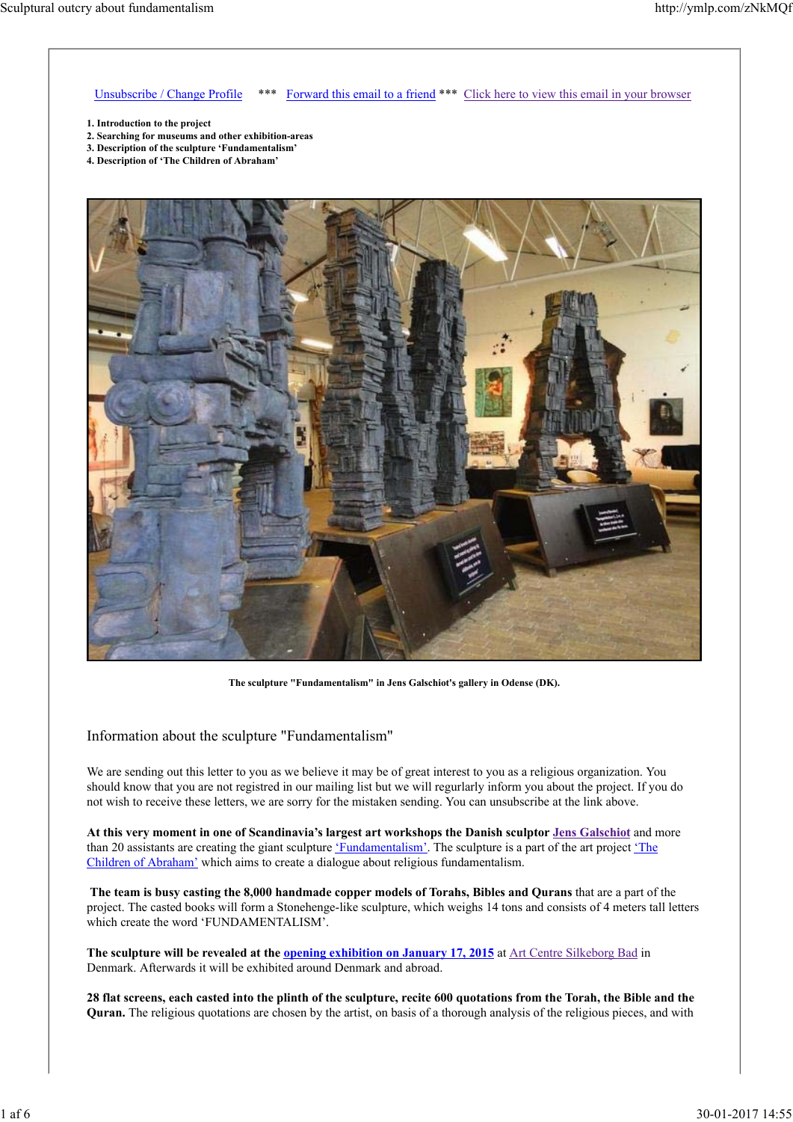Unsubscribe / Change Profile \*\*\* Forward this email to a friend \*\*\* Click here to view this email in your browser

- **1. Introduction to the project**
- **2. Searching for museums and other exhibition-areas**
- **3. Description of the sculpture 'Fundamentalism'**
- **4. Description of 'The Children of Abraham'**



**The sculpture "Fundamentalism" in Jens Galschiot's gallery in Odense (DK).**

Information about the sculpture "Fundamentalism"

We are sending out this letter to you as we believe it may be of great interest to you as a religious organization. You should know that you are not registred in our mailing list but we will regurlarly inform you about the project. If you do not wish to receive these letters, we are sorry for the mistaken sending. You can unsubscribe at the link above.

**At this very moment in one of Scandinavia's largest art workshops the Danish sculptor Jens Galschiot** and more than 20 assistants are creating the giant sculpture 'Fundamentalism'. The sculpture is a part of the art project 'The Children of Abraham' which aims to create a dialogue about religious fundamentalism.

**The team is busy casting the 8,000 handmade copper models of Torahs, Bibles and Qurans** that are a part of the project. The casted books will form a Stonehenge-like sculpture, which weighs 14 tons and consists of 4 meters tall letters which create the word 'FUNDAMENTALISM'.

**The sculpture will be revealed at the opening exhibition on January 17, 2015** at Art Centre Silkeborg Bad in Denmark. Afterwards it will be exhibited around Denmark and abroad.

**28 flat screens, each casted into the plinth of the sculpture, recite 600 quotations from the Torah, the Bible and the Quran.** The religious quotations are chosen by the artist, on basis of a thorough analysis of the religious pieces, and with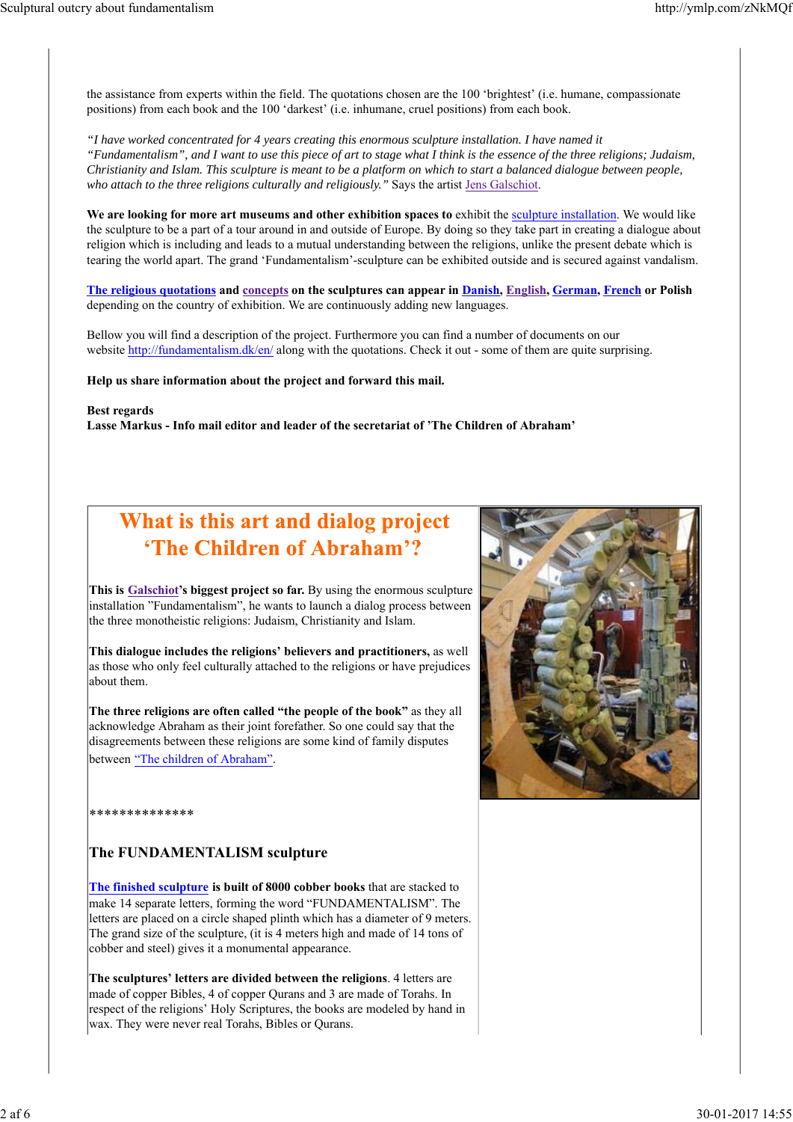the assistance from experts within the field. The quotations chosen are the 100 'brightest' (i.e. humane, compassionate positions) from each book and the 100 'darkest' (i.e. inhumane, cruel positions) from each book.

*"I have worked concentrated for 4 years creating this enormous sculpture installation. I have named it "Fundamentalism", and I want to use this piece of art to stage what I think is the essence of the three religions; Judaism, Christianity and Islam. This sculpture is meant to be a platform on which to start a balanced dialogue between people, who attach to the three religions culturally and religiously."* Says the artist Jens Galschiot.

**We are looking for more art museums and other exhibition spaces to** exhibit the sculpture installation. We would like the sculpture to be a part of a tour around in and outside of Europe. By doing so they take part in creating a dialogue about religion which is including and leads to a mutual understanding between the religions, unlike the present debate which is tearing the world apart. The grand 'Fundamentalism'-sculpture can be exhibited outside and is secured against vandalism.

**The religious quotations and concepts on the sculptures can appear in Danish, English, German, French or Polish** depending on the country of exhibition. We are continuously adding new languages.

Bellow you will find a description of the project. Furthermore you can find a number of documents on our website http://fundamentalism.dk/en/ along with the quotations. Check it out - some of them are quite surprising.

**Help us share information about the project and forward this mail.**

**Best regards**

**Lasse Markus - Info mail editor and leader of the secretariat of 'The Children of Abraham'**

## What is this art and dialog project 'The Children of Abraham'?

**This is Galschiot's biggest project so far.** By using the enormous sculpture installation "Fundamentalism", he wants to launch a dialog process between the three monotheistic religions: Judaism, Christianity and Islam.

**This dialogue includes the religions' believers and practitioners,** as well as those who only feel culturally attached to the religions or have prejudices about them.

**The three religions are often called "the people of the book"** as they all acknowledge Abraham as their joint forefather. So one could say that the disagreements between these religions are some kind of family disputes between "The children of Abraham".



\*\*\*\*\*\*\*\*\*\*\*\*\*\*

#### **The FUNDAMENTALISM sculpture**

**The finished sculpture is built of 8000 cobber books** that are stacked to make 14 separate letters, forming the word "FUNDAMENTALISM". The letters are placed on a circle shaped plinth which has a diameter of 9 meters. The grand size of the sculpture, (it is 4 meters high and made of 14 tons of cobber and steel) gives it a monumental appearance.

**The sculptures' letters are divided between the religions**. 4 letters are made of copper Bibles, 4 of copper Qurans and 3 are made of Torahs. In respect of the religions' Holy Scriptures, the books are modeled by hand in wax. They were never real Torahs, Bibles or Qurans.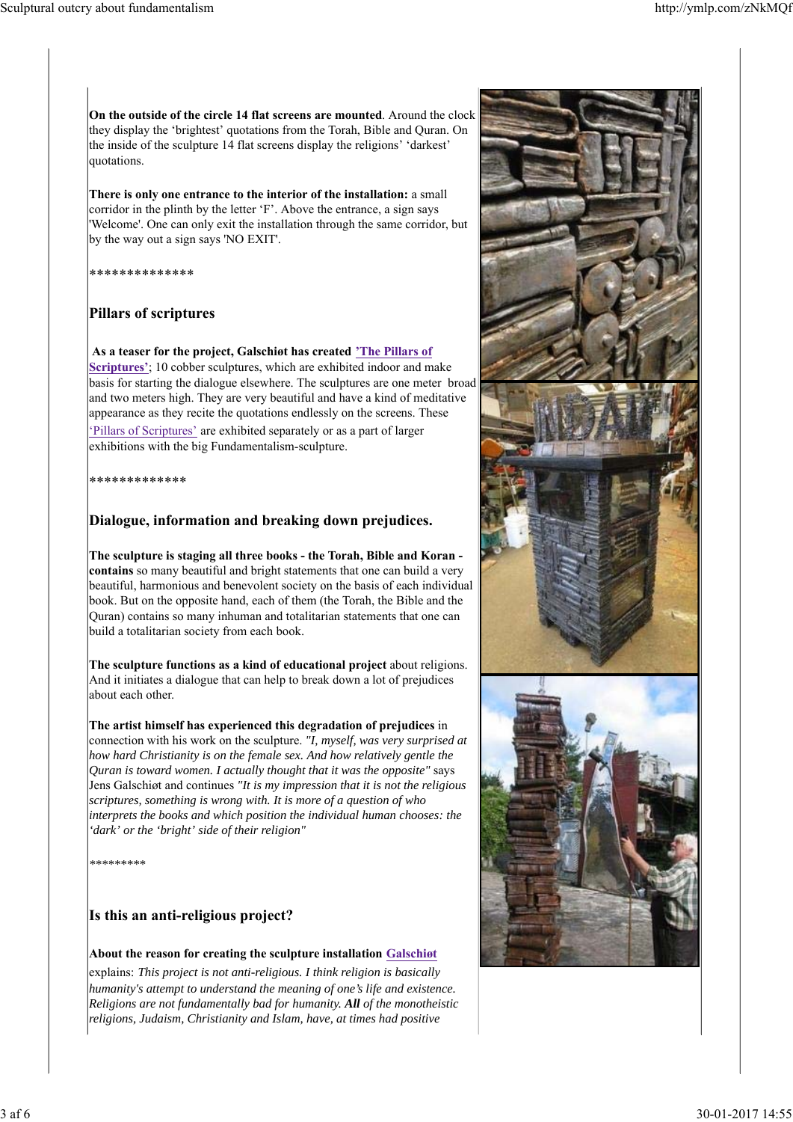**On the outside of the circle 14 flat screens are mounted**. Around the clock they display the 'brightest' quotations from the Torah, Bible and Quran. On the inside of the sculpture 14 flat screens display the religions' 'darkest' quotations.

**There is only one entrance to the interior of the installation:** a small corridor in the plinth by the letter 'F'. Above the entrance, a sign says 'Welcome'. One can only exit the installation through the same corridor, but by the way out a sign says 'NO EXIT'.

\*\*\*\*\*\*\*\*\*\*\*\*\*\*

#### **Pillars of scriptures**

**As a teaser for the project, Galschiøt has created 'The Pillars of Scriptures'**; 10 cobber sculptures, which are exhibited indoor and make basis for starting the dialogue elsewhere. The sculptures are one meter broad and two meters high. They are very beautiful and have a kind of meditative appearance as they recite the quotations endlessly on the screens. These 'Pillars of Scriptures' are exhibited separately or as a part of larger

exhibitions with the big Fundamentalism-sculpture.

\*\*\*\*\*\*\*\*\*\*\*\*\*

#### **Dialogue, information and breaking down prejudices.**

**The sculpture is staging all three books - the Torah, Bible and Koran contains** so many beautiful and bright statements that one can build a very beautiful, harmonious and benevolent society on the basis of each individual book. But on the opposite hand, each of them (the Torah, the Bible and the Quran) contains so many inhuman and totalitarian statements that one can build a totalitarian society from each book.

**The sculpture functions as a kind of educational project** about religions. And it initiates a dialogue that can help to break down a lot of prejudices about each other.

**The artist himself has experienced this degradation of prejudices** in connection with his work on the sculpture. *"I, myself, was very surprised at how hard Christianity is on the female sex. And how relatively gentle the Quran is toward women. I actually thought that it was the opposite"* says Jens Galschiøt and continues *"It is my impression that it is not the religious scriptures, something is wrong with. It is more of a question of who interprets the books and which position the individual human chooses: the 'dark' or the 'bright' side of their religion"*

*\*\*\*\*\*\*\*\*\**

#### **Is this an anti-religious project?**

#### **About the reason for creating the sculpture installation Galschiøt**

explains: *This project is not anti-religious. I think religion is basically humanity's attempt to understand the meaning of one's life and existence. Religions are not fundamentally bad for humanity. All of the monotheistic religions, Judaism, Christianity and Islam, have, at times had positive*

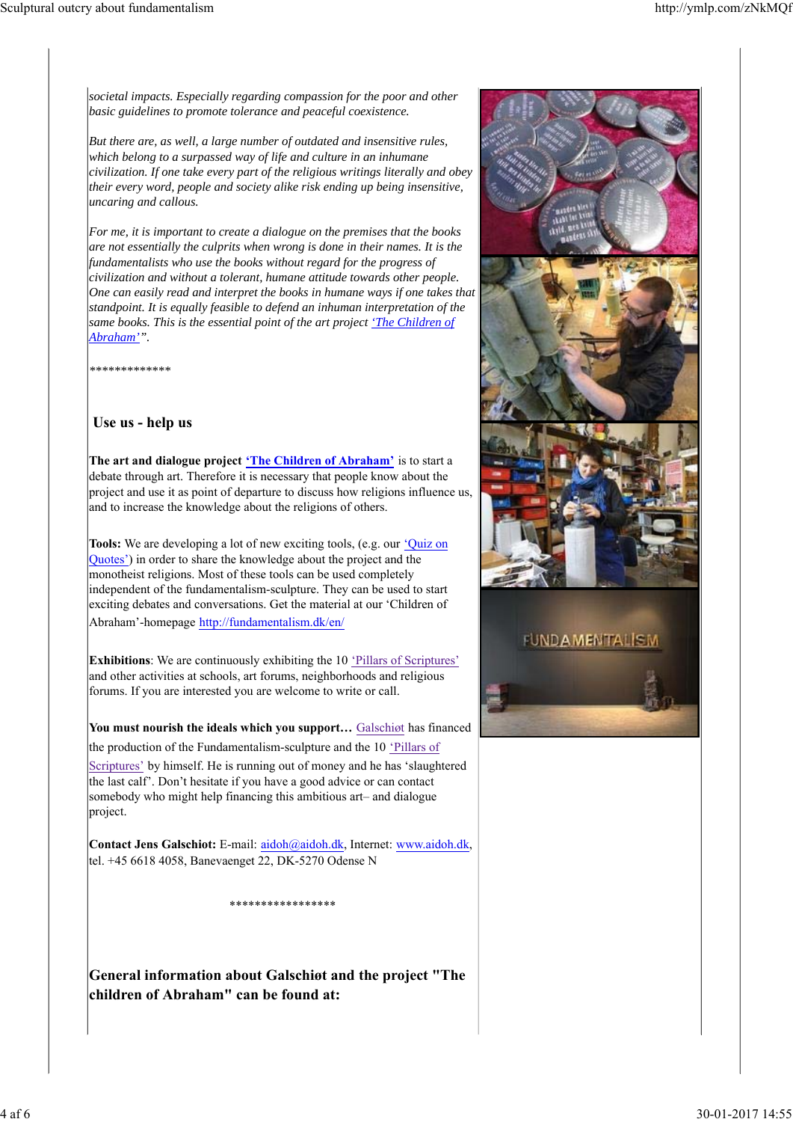*societal impacts. Especially regarding compassion for the poor and other basic guidelines to promote tolerance and peaceful coexistence.*

*But there are, as well, a large number of outdated and insensitive rules, which belong to a surpassed way of life and culture in an inhumane civilization. If one take every part of the religious writings literally and obey their every word, people and society alike risk ending up being insensitive, uncaring and callous.*

*For me, it is important to create a dialogue on the premises that the books are not essentially the culprits when wrong is done in their names. It is the fundamentalists who use the books without regard for the progress of civilization and without a tolerant, humane attitude towards other people. One can easily read and interpret the books in humane ways if one takes that standpoint. It is equally feasible to defend an inhuman interpretation of the same books. This is the essential point of the art project 'The Children of Abraham'".*

*\*\*\*\*\*\*\*\*\*\*\*\*\**

#### **Use us - help us**

**The art and dialogue project 'The Children of Abraham'** is to start a debate through art. Therefore it is necessary that people know about the project and use it as point of departure to discuss how religions influence us, and to increase the knowledge about the religions of others.

**Tools:** We are developing a lot of new exciting tools, (e.g. our 'Quiz on Quotes') in order to share the knowledge about the project and the monotheist religions. Most of these tools can be used completely independent of the fundamentalism-sculpture. They can be used to start exciting debates and conversations. Get the material at our 'Children of Abraham'-homepage http://fundamentalism.dk/en/

**Exhibitions**: We are continuously exhibiting the 10 'Pillars of Scriptures' and other activities at schools, art forums, neighborhoods and religious forums. If you are interested you are welcome to write or call.

**You must nourish the ideals which you support…** Galschiøt has financed the production of the Fundamentalism-sculpture and the 10 'Pillars of Scriptures' by himself. He is running out of money and he has 'slaughtered the last calf'. Don't hesitate if you have a good advice or can contact somebody who might help financing this ambitious art– and dialogue project.

**Contact Jens Galschiot:** E-mail: aidoh@aidoh.dk, Internet: www.aidoh.dk, tel. +45 6618 4058, Banevaenget 22, DK-5270 Odense N

\*\*\*\*\*\*\*\*\*\*\*\*\*\*\*\*\*\*\*\*

**General information about Galschiøt and the project "The children of Abraham" can be found at:**



#### **FUNDAMENTALISM**

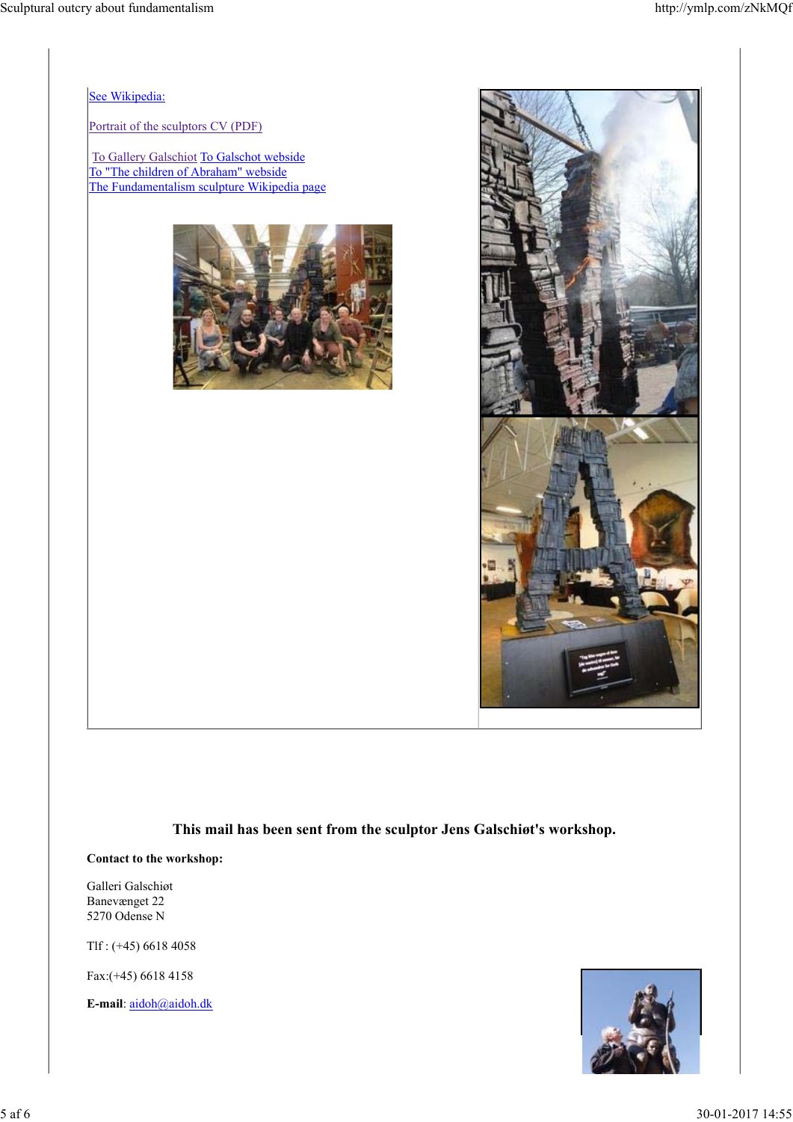See Wikipedia:

Portrait of the sculptors CV (PDF)

To Gallery Galschiot To Galschot webside To "The children of Abraham" webside The Fundamentalism sculpture Wikipedia page





**This mail has been sent from the sculptor Jens Galschiøt's workshop.**

**Contact to the workshop:**

Galleri Galschiøt Banevænget 22 5270 Odense N

Tlf : (+45) 6618 4058

Fax:(+45) 6618 4158

**E-mail**: aidoh@aidoh.dk